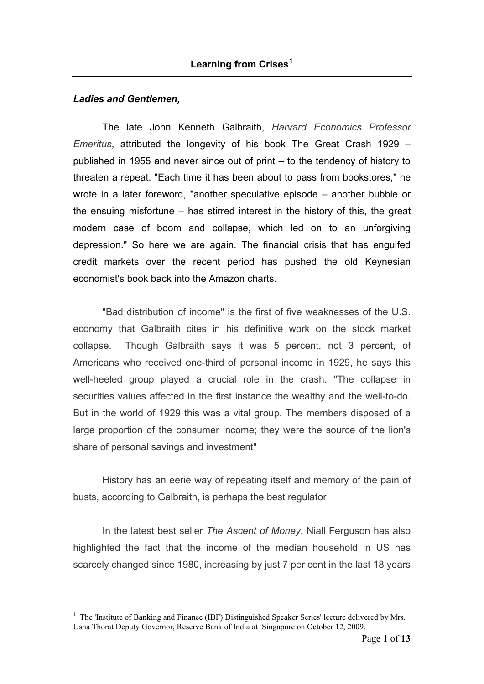### *Ladies and Gentlemen,*

1

The late John Kenneth Galbraith, *Harvard Economics Professor Emeritus*, attributed the longevity of his book The Great Crash 1929 – published in 1955 and never since out of print – to the tendency of history to threaten a repeat. "Each time it has been about to pass from bookstores," he wrote in a later foreword, "another speculative episode – another bubble or the ensuing misfortune – has stirred interest in the history of this, the great modern case of boom and collapse, which led on to an unforgiving depression." So here we are again. The financial crisis that has engulfed credit markets over the recent period has pushed the old Keynesian economist's book back into the Amazon charts.

"Bad distribution of income" is the first of five weaknesses of the U.S. economy that Galbraith cites in his definitive work on the stock market collapse. Though Galbraith says it was 5 percent, not 3 percent, of Americans who received one-third of personal income in 1929, he says this well-heeled group played a crucial role in the crash. "The collapse in securities values affected in the first instance the wealthy and the well-to-do. But in the world of 1929 this was a vital group. The members disposed of a large proportion of the consumer income; they were the source of the lion's share of personal savings and investment"

History has an eerie way of repeating itself and memory of the pain of busts, according to Galbraith, is perhaps the best regulator

In the latest best seller *The Ascent of Money*, Niall Ferguson has also highlighted the fact that the income of the median household in US has scarcely changed since 1980, increasing by just 7 per cent in the last 18 years

<span id="page-0-0"></span><sup>&</sup>lt;sup>1</sup> The 'Institute of Banking and Finance (IBF) Distinguished Speaker Series' lecture delivered by Mrs. Usha Thorat Deputy Governor, Reserve Bank of India at Singapore on October 12, 2009.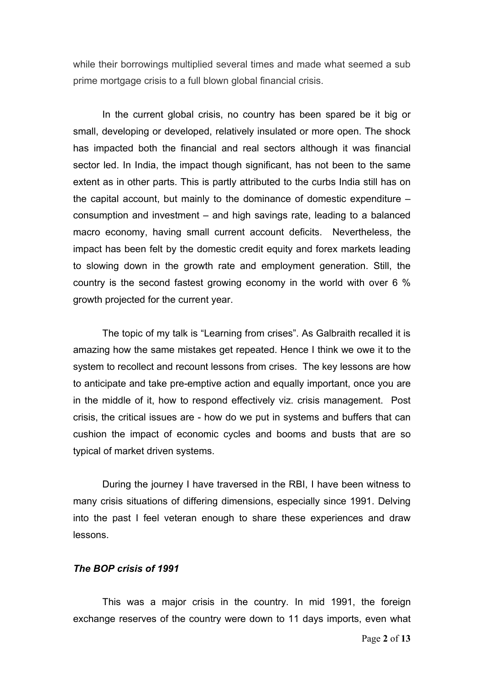while their borrowings multiplied several times and made what seemed a sub prime mortgage crisis to a full blown global financial crisis.

In the current global crisis, no country has been spared be it big or small, developing or developed, relatively insulated or more open. The shock has impacted both the financial and real sectors although it was financial sector led. In India, the impact though significant, has not been to the same extent as in other parts. This is partly attributed to the curbs India still has on the capital account, but mainly to the dominance of domestic expenditure – consumption and investment – and high savings rate, leading to a balanced macro economy, having small current account deficits. Nevertheless, the impact has been felt by the domestic credit equity and forex markets leading to slowing down in the growth rate and employment generation. Still, the country is the second fastest growing economy in the world with over 6 % growth projected for the current year.

The topic of my talk is "Learning from crises". As Galbraith recalled it is amazing how the same mistakes get repeated. Hence I think we owe it to the system to recollect and recount lessons from crises. The key lessons are how to anticipate and take pre-emptive action and equally important, once you are in the middle of it, how to respond effectively viz. crisis management. Post crisis, the critical issues are - how do we put in systems and buffers that can cushion the impact of economic cycles and booms and busts that are so typical of market driven systems.

During the journey I have traversed in the RBI, I have been witness to many crisis situations of differing dimensions, especially since 1991. Delving into the past I feel veteran enough to share these experiences and draw lessons.

#### *The BOP crisis of 1991*

This was a major crisis in the country. In mid 1991, the foreign exchange reserves of the country were down to 11 days imports, even what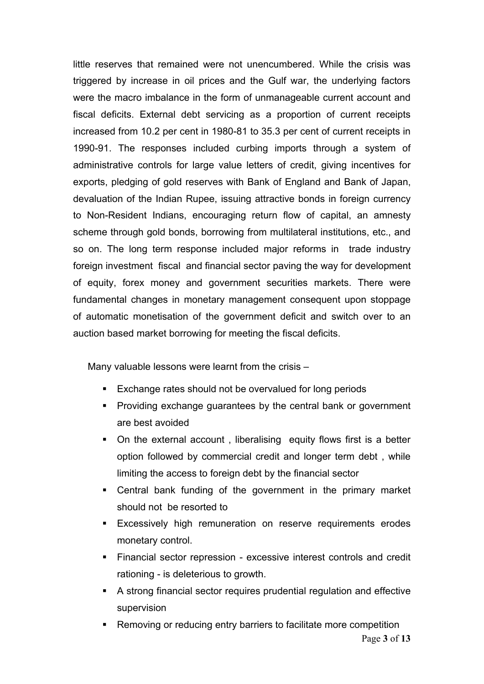little reserves that remained were not unencumbered. While the crisis was triggered by increase in oil prices and the Gulf war, the underlying factors were the macro imbalance in the form of unmanageable current account and fiscal deficits. External debt servicing as a proportion of current receipts increased from 10.2 per cent in 1980-81 to 35.3 per cent of current receipts in 1990-91. The responses included curbing imports through a system of administrative controls for large value letters of credit, giving incentives for exports, pledging of gold reserves with Bank of England and Bank of Japan, devaluation of the Indian Rupee, issuing attractive bonds in foreign currency to Non-Resident Indians, encouraging return flow of capital, an amnesty scheme through gold bonds, borrowing from multilateral institutions, etc., and so on. The long term response included major reforms in trade industry foreign investment fiscal and financial sector paving the way for development of equity, forex money and government securities markets. There were fundamental changes in monetary management consequent upon stoppage of automatic monetisation of the government deficit and switch over to an auction based market borrowing for meeting the fiscal deficits.

Many valuable lessons were learnt from the crisis –

- **Exchange rates should not be overvalued for long periods**
- ! Providing exchange guarantees by the central bank or government are best avoided
- On the external account, liberalising equity flows first is a better option followed by commercial credit and longer term debt , while limiting the access to foreign debt by the financial sector
- ! Central bank funding of the government in the primary market should not be resorted to
- **Excessively high remuneration on reserve requirements erodes** monetary control.
- ! Financial sector repression excessive interest controls and credit rationing - is deleterious to growth.
- ! A strong financial sector requires prudential regulation and effective supervision
- **EXECT** Removing or reducing entry barriers to facilitate more competition Page **3** of **13**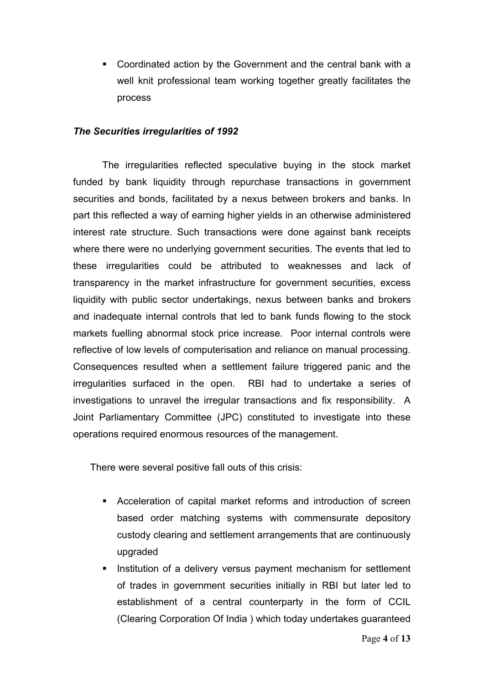! Coordinated action by the Government and the central bank with a well knit professional team working together greatly facilitates the process

## *The Securities irregularities of 1992*

The irregularities reflected speculative buying in the stock market funded by bank liquidity through repurchase transactions in government securities and bonds, facilitated by a nexus between brokers and banks. In part this reflected a way of earning higher yields in an otherwise administered interest rate structure. Such transactions were done against bank receipts where there were no underlying government securities. The events that led to these irregularities could be attributed to weaknesses and lack of transparency in the market infrastructure for government securities, excess liquidity with public sector undertakings, nexus between banks and brokers and inadequate internal controls that led to bank funds flowing to the stock markets fuelling abnormal stock price increase. Poor internal controls were reflective of low levels of computerisation and reliance on manual processing. Consequences resulted when a settlement failure triggered panic and the irregularities surfaced in the open. RBI had to undertake a series of investigations to unravel the irregular transactions and fix responsibility. A Joint Parliamentary Committee (JPC) constituted to investigate into these operations required enormous resources of the management.

There were several positive fall outs of this crisis:

- ! Acceleration of capital market reforms and introduction of screen based order matching systems with commensurate depository custody clearing and settlement arrangements that are continuously upgraded
- **EXEDENT** Institution of a delivery versus payment mechanism for settlement of trades in government securities initially in RBI but later led to establishment of a central counterparty in the form of CCIL (Clearing Corporation Of India ) which today undertakes guaranteed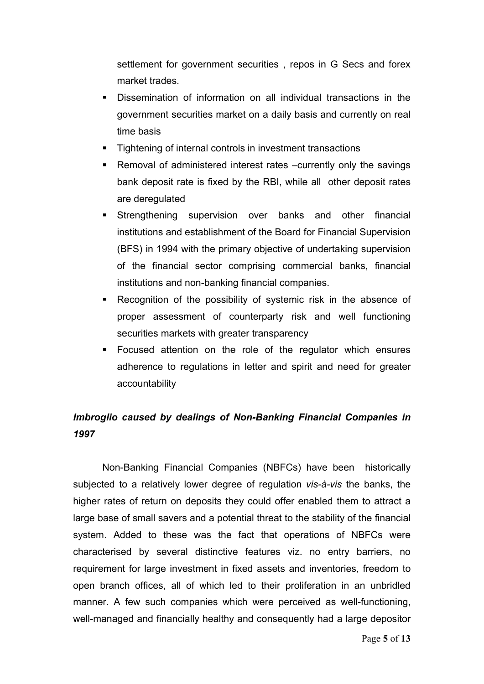settlement for government securities , repos in G Secs and forex market trades.

- Dissemination of information on all individual transactions in the government securities market on a daily basis and currently on real time basis
- **Tightening of internal controls in investment transactions**
- ! Removal of administered interest rates –currently only the savings bank deposit rate is fixed by the RBI, while all other deposit rates are deregulated
- **EXTERGIST IS Strengthening supervision over banks and other financial** institutions and establishment of the Board for Financial Supervision (BFS) in 1994 with the primary objective of undertaking supervision of the financial sector comprising commercial banks, financial institutions and non-banking financial companies.
- Recognition of the possibility of systemic risk in the absence of proper assessment of counterparty risk and well functioning securities markets with greater transparency
- ! Focused attention on the role of the regulator which ensures adherence to regulations in letter and spirit and need for greater accountability

# *Imbroglio caused by dealings of Non-Banking Financial Companies in 1997*

Non-Banking Financial Companies (NBFCs) have been historically subjected to a relatively lower degree of regulation *vis-à-vis* the banks, the higher rates of return on deposits they could offer enabled them to attract a large base of small savers and a potential threat to the stability of the financial system. Added to these was the fact that operations of NBFCs were characterised by several distinctive features viz. no entry barriers, no requirement for large investment in fixed assets and inventories, freedom to open branch offices, all of which led to their proliferation in an unbridled manner. A few such companies which were perceived as well-functioning, well-managed and financially healthy and consequently had a large depositor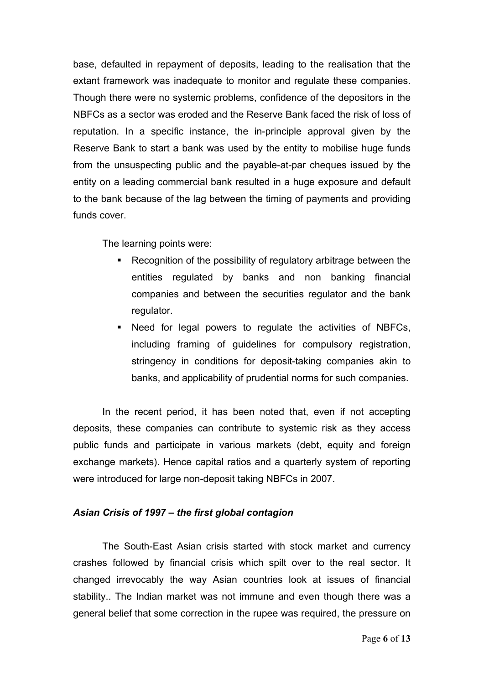base, defaulted in repayment of deposits, leading to the realisation that the extant framework was inadequate to monitor and regulate these companies. Though there were no systemic problems, confidence of the depositors in the NBFCs as a sector was eroded and the Reserve Bank faced the risk of loss of reputation. In a specific instance, the in-principle approval given by the Reserve Bank to start a bank was used by the entity to mobilise huge funds from the unsuspecting public and the payable-at-par cheques issued by the entity on a leading commercial bank resulted in a huge exposure and default to the bank because of the lag between the timing of payments and providing funds cover.

The learning points were:

- **EXECOMEDE:** Recognition of the possibility of regulatory arbitrage between the entities regulated by banks and non banking financial companies and between the securities regulator and the bank regulator.
- ! Need for legal powers to regulate the activities of NBFCs, including framing of guidelines for compulsory registration, stringency in conditions for deposit-taking companies akin to banks, and applicability of prudential norms for such companies.

In the recent period, it has been noted that, even if not accepting deposits, these companies can contribute to systemic risk as they access public funds and participate in various markets (debt, equity and foreign exchange markets). Hence capital ratios and a quarterly system of reporting were introduced for large non-deposit taking NBFCs in 2007.

# *Asian Crisis of 1997 – the first global contagion*

The South-East Asian crisis started with stock market and currency crashes followed by financial crisis which spilt over to the real sector. It changed irrevocably the way Asian countries look at issues of financial stability.. The Indian market was not immune and even though there was a general belief that some correction in the rupee was required, the pressure on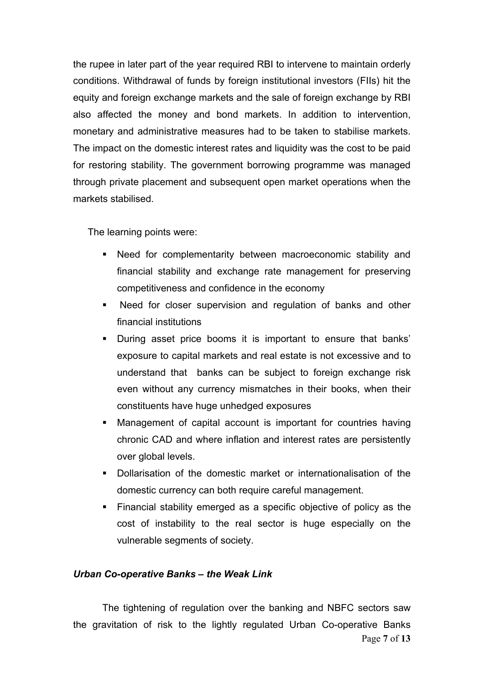the rupee in later part of the year required RBI to intervene to maintain orderly conditions. Withdrawal of funds by foreign institutional investors (FIIs) hit the equity and foreign exchange markets and the sale of foreign exchange by RBI also affected the money and bond markets. In addition to intervention, monetary and administrative measures had to be taken to stabilise markets. The impact on the domestic interest rates and liquidity was the cost to be paid for restoring stability. The government borrowing programme was managed through private placement and subsequent open market operations when the markets stabilised.

The learning points were:

- ! Need for complementarity between macroeconomic stability and financial stability and exchange rate management for preserving competitiveness and confidence in the economy
- ! Need for closer supervision and regulation of banks and other financial institutions
- ! During asset price booms it is important to ensure that banks' exposure to capital markets and real estate is not excessive and to understand that banks can be subject to foreign exchange risk even without any currency mismatches in their books, when their constituents have huge unhedged exposures
- ! Management of capital account is important for countries having chronic CAD and where inflation and interest rates are persistently over global levels.
- ! Dollarisation of the domestic market or internationalisation of the domestic currency can both require careful management.
- ! Financial stability emerged as a specific objective of policy as the cost of instability to the real sector is huge especially on the vulnerable segments of society.

## *Urban Co-operative Banks – the Weak Link*

The tightening of regulation over the banking and NBFC sectors saw the gravitation of risk to the lightly regulated Urban Co-operative Banks Page **7** of **13**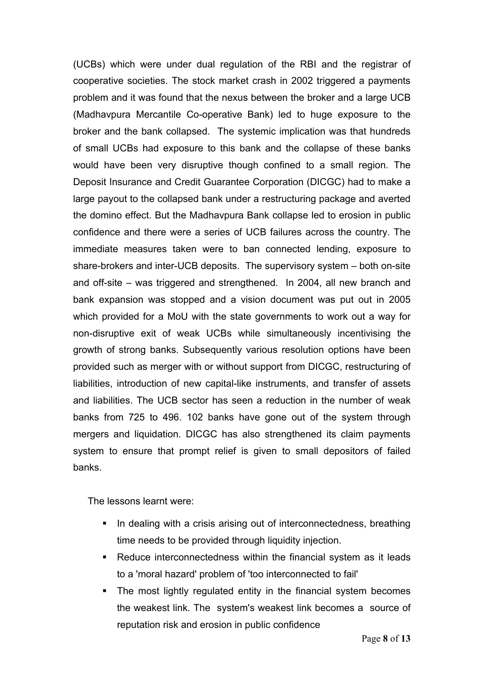(UCBs) which were under dual regulation of the RBI and the registrar of cooperative societies. The stock market crash in 2002 triggered a payments problem and it was found that the nexus between the broker and a large UCB (Madhavpura Mercantile Co-operative Bank) led to huge exposure to the broker and the bank collapsed. The systemic implication was that hundreds of small UCBs had exposure to this bank and the collapse of these banks would have been very disruptive though confined to a small region. The Deposit Insurance and Credit Guarantee Corporation (DICGC) had to make a large payout to the collapsed bank under a restructuring package and averted the domino effect. But the Madhavpura Bank collapse led to erosion in public confidence and there were a series of UCB failures across the country. The immediate measures taken were to ban connected lending, exposure to share-brokers and inter-UCB deposits. The supervisory system – both on-site and off-site – was triggered and strengthened. In 2004, all new branch and bank expansion was stopped and a vision document was put out in 2005 which provided for a MoU with the state governments to work out a way for non-disruptive exit of weak UCBs while simultaneously incentivising the growth of strong banks. Subsequently various resolution options have been provided such as merger with or without support from DICGC, restructuring of liabilities, introduction of new capital-like instruments, and transfer of assets and liabilities. The UCB sector has seen a reduction in the number of weak banks from 725 to 496. 102 banks have gone out of the system through mergers and liquidation. DICGC has also strengthened its claim payments system to ensure that prompt relief is given to small depositors of failed banks.

The lessons learnt were:

- **I.** In dealing with a crisis arising out of interconnectedness, breathing time needs to be provided through liquidity injection.
- **EXEC** EXECUTE: Reduce interconnectedness within the financial system as it leads to a 'moral hazard' problem of 'too interconnected to fail'
- The most lightly regulated entity in the financial system becomes the weakest link. The system's weakest link becomes a source of reputation risk and erosion in public confidence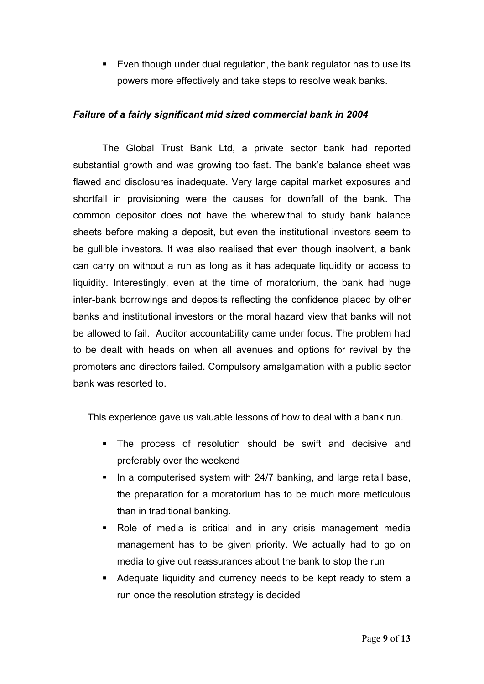! Even though under dual regulation, the bank regulator has to use its powers more effectively and take steps to resolve weak banks.

# *Failure of a fairly significant mid sized commercial bank in 2004*

The Global Trust Bank Ltd, a private sector bank had reported substantial growth and was growing too fast. The bank's balance sheet was flawed and disclosures inadequate. Very large capital market exposures and shortfall in provisioning were the causes for downfall of the bank. The common depositor does not have the wherewithal to study bank balance sheets before making a deposit, but even the institutional investors seem to be gullible investors. It was also realised that even though insolvent, a bank can carry on without a run as long as it has adequate liquidity or access to liquidity. Interestingly, even at the time of moratorium, the bank had huge inter-bank borrowings and deposits reflecting the confidence placed by other banks and institutional investors or the moral hazard view that banks will not be allowed to fail. Auditor accountability came under focus. The problem had to be dealt with heads on when all avenues and options for revival by the promoters and directors failed. Compulsory amalgamation with a public sector bank was resorted to.

This experience gave us valuable lessons of how to deal with a bank run.

- ! The process of resolution should be swift and decisive and preferably over the weekend
- **I.** In a computerised system with 24/7 banking, and large retail base, the preparation for a moratorium has to be much more meticulous than in traditional banking.
- . Role of media is critical and in any crisis management media management has to be given priority. We actually had to go on media to give out reassurances about the bank to stop the run
- ! Adequate liquidity and currency needs to be kept ready to stem a run once the resolution strategy is decided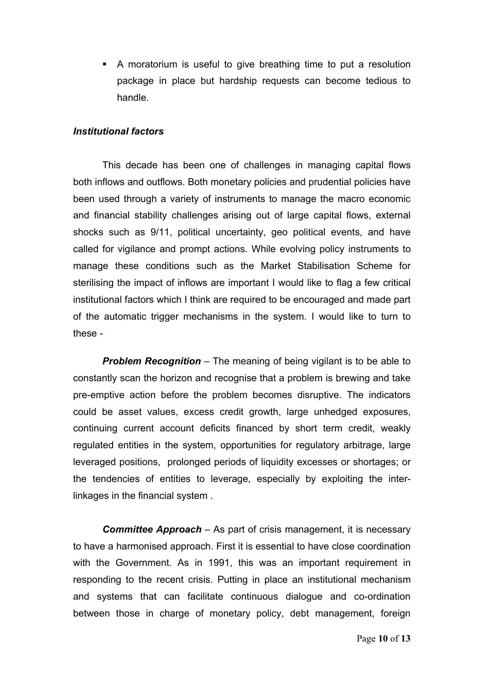! A moratorium is useful to give breathing time to put a resolution package in place but hardship requests can become tedious to handle.

## *Institutional factors*

This decade has been one of challenges in managing capital flows both inflows and outflows. Both monetary policies and prudential policies have been used through a variety of instruments to manage the macro economic and financial stability challenges arising out of large capital flows, external shocks such as 9/11, political uncertainty, geo political events, and have called for vigilance and prompt actions. While evolving policy instruments to manage these conditions such as the Market Stabilisation Scheme for sterilising the impact of inflows are important I would like to flag a few critical institutional factors which I think are required to be encouraged and made part of the automatic trigger mechanisms in the system. I would like to turn to these -

*Problem Recognition* – The meaning of being vigilant is to be able to constantly scan the horizon and recognise that a problem is brewing and take pre-emptive action before the problem becomes disruptive. The indicators could be asset values, excess credit growth, large unhedged exposures, continuing current account deficits financed by short term credit, weakly regulated entities in the system, opportunities for regulatory arbitrage, large leveraged positions, prolonged periods of liquidity excesses or shortages; or the tendencies of entities to leverage, especially by exploiting the interlinkages in the financial system .

*Committee Approach* – As part of crisis management, it is necessary to have a harmonised approach. First it is essential to have close coordination with the Government. As in 1991, this was an important requirement in responding to the recent crisis. Putting in place an institutional mechanism and systems that can facilitate continuous dialogue and co-ordination between those in charge of monetary policy, debt management, foreign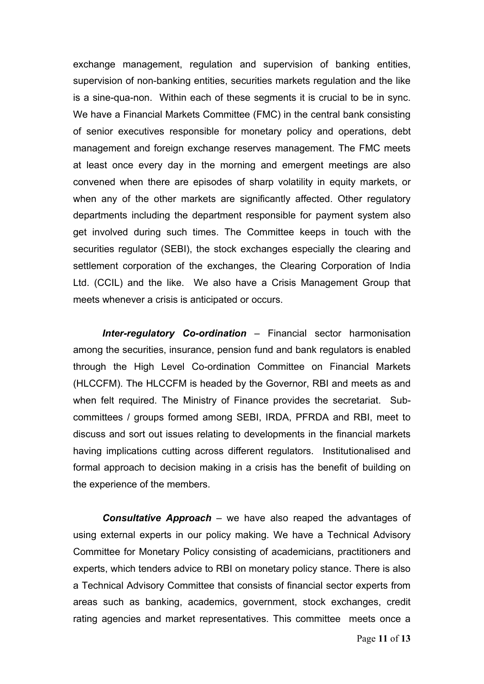exchange management, regulation and supervision of banking entities, supervision of non-banking entities, securities markets regulation and the like is a sine-qua-non. Within each of these segments it is crucial to be in sync. We have a Financial Markets Committee (FMC) in the central bank consisting of senior executives responsible for monetary policy and operations, debt management and foreign exchange reserves management. The FMC meets at least once every day in the morning and emergent meetings are also convened when there are episodes of sharp volatility in equity markets, or when any of the other markets are significantly affected. Other regulatory departments including the department responsible for payment system also get involved during such times. The Committee keeps in touch with the securities regulator (SEBI), the stock exchanges especially the clearing and settlement corporation of the exchanges, the Clearing Corporation of India Ltd. (CCIL) and the like. We also have a Crisis Management Group that meets whenever a crisis is anticipated or occurs.

*Inter-regulatory Co-ordination* – Financial sector harmonisation among the securities, insurance, pension fund and bank regulators is enabled through the High Level Co-ordination Committee on Financial Markets (HLCCFM). The HLCCFM is headed by the Governor, RBI and meets as and when felt required. The Ministry of Finance provides the secretariat. Subcommittees / groups formed among SEBI, IRDA, PFRDA and RBI, meet to discuss and sort out issues relating to developments in the financial markets having implications cutting across different regulators. Institutionalised and formal approach to decision making in a crisis has the benefit of building on the experience of the members.

*Consultative Approach* – we have also reaped the advantages of using external experts in our policy making. We have a Technical Advisory Committee for Monetary Policy consisting of academicians, practitioners and experts, which tenders advice to RBI on monetary policy stance. There is also a Technical Advisory Committee that consists of financial sector experts from areas such as banking, academics, government, stock exchanges, credit rating agencies and market representatives. This committee meets once a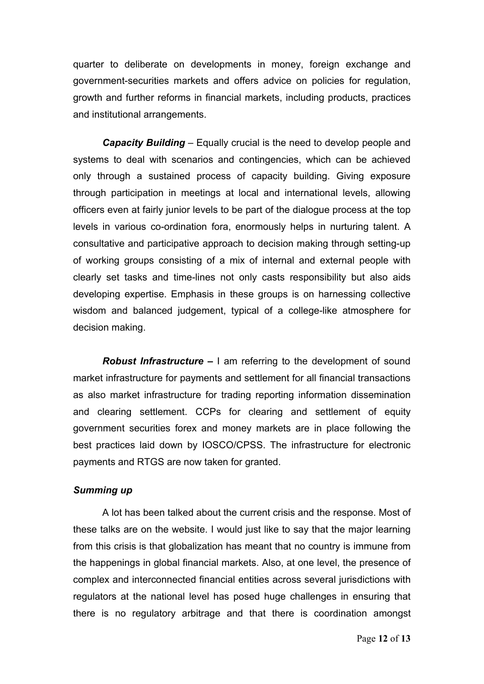quarter to deliberate on developments in money, foreign exchange and government-securities markets and offers advice on policies for regulation, growth and further reforms in financial markets, including products, practices and institutional arrangements.

**Capacity Building** – Equally crucial is the need to develop people and systems to deal with scenarios and contingencies, which can be achieved only through a sustained process of capacity building. Giving exposure through participation in meetings at local and international levels, allowing officers even at fairly junior levels to be part of the dialogue process at the top levels in various co-ordination fora, enormously helps in nurturing talent. A consultative and participative approach to decision making through setting-up of working groups consisting of a mix of internal and external people with clearly set tasks and time-lines not only casts responsibility but also aids developing expertise. Emphasis in these groups is on harnessing collective wisdom and balanced judgement, typical of a college-like atmosphere for decision making.

*Robust Infrastructure –* I am referring to the development of sound market infrastructure for payments and settlement for all financial transactions as also market infrastructure for trading reporting information dissemination and clearing settlement. CCPs for clearing and settlement of equity government securities forex and money markets are in place following the best practices laid down by IOSCO/CPSS. The infrastructure for electronic payments and RTGS are now taken for granted.

#### *Summing up*

A lot has been talked about the current crisis and the response. Most of these talks are on the website. I would just like to say that the major learning from this crisis is that globalization has meant that no country is immune from the happenings in global financial markets. Also, at one level, the presence of complex and interconnected financial entities across several jurisdictions with regulators at the national level has posed huge challenges in ensuring that there is no regulatory arbitrage and that there is coordination amongst